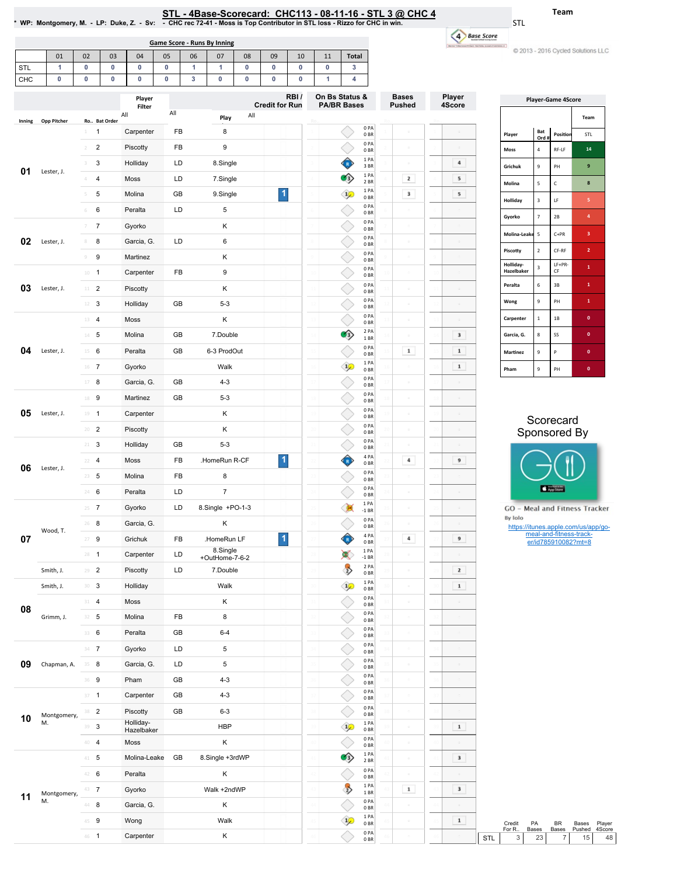| STL - 4Base-Scorecard: CHC113 - 08-11-16 - STL 3 @ CHC 4                                                                |
|-------------------------------------------------------------------------------------------------------------------------|
| * WP: Montgomery, M. - LP: Duke, Z. - Sv: - CHC rec 72-41 - Moss is Top Contributor in STL loss - Rizzo for CHC in win. |

Team

Game Score - Runs By Inning

STL 4 Base Score 

C 2013 - 2016 Cycled Solutions LLC

Bases Pushed Player 4Score

|                   | 01                 | 02                     | 03                       | 04                     | 05                         | 06<br>07                                       |                | 08                     | 09                         | 10             | 11                 | <b>Total</b>      |                         |               |                         |                               |                                                | 2013 - 2016 Cycled Solutions LLC                                             |                         |  |
|-------------------|--------------------|------------------------|--------------------------|------------------------|----------------------------|------------------------------------------------|----------------|------------------------|----------------------------|----------------|--------------------|-------------------|-------------------------|---------------|-------------------------|-------------------------------|------------------------------------------------|------------------------------------------------------------------------------|-------------------------|--|
| <b>STL</b><br>CHC | 1<br>0             | $\pmb{0}$<br>$\pmb{0}$ | $\mathbf 0$<br>$\pmb{0}$ | $\pmb{0}$<br>$\pmb{0}$ | $\mathbf 0$<br>$\mathbf 0$ | $\mathbf{1}$<br>$\mathbf{1}$<br>3<br>$\pmb{0}$ |                | $\pmb{0}$<br>$\pmb{0}$ | $\mathbf 0$<br>$\mathbf 0$ | $\pmb{0}$<br>0 | $\mathbf 0$<br>1   | $\mathbf{3}$<br>4 |                         |               |                         |                               |                                                |                                                                              |                         |  |
|                   |                    |                        |                          |                        |                            |                                                |                |                        |                            | RBI/           | On Bs Status &     |                   |                         | <b>Bases</b>  | Player                  |                               |                                                |                                                                              |                         |  |
|                   |                    |                        |                          | Player<br>Filter       | All                        |                                                |                |                        | <b>Credit for Run</b>      |                | <b>PA/BR Bases</b> |                   |                         | <b>Pushed</b> | 4Score                  |                               |                                                | <b>Player-Game 4Score</b>                                                    |                         |  |
| Inning            | <b>Opp Pitcher</b> |                        | Ro Bat Order             | All                    |                            |                                                | Play           | All                    |                            |                |                    |                   | 0PA                     |               |                         |                               |                                                |                                                                              | Team                    |  |
|                   |                    | $1^-$                  | $\overline{1}$           | Carpenter              | FB                         |                                                | 8              |                        |                            |                |                    |                   | 0BR<br>0PA              |               |                         | Player                        | Bat<br>Ord #                                   | Position                                                                     | STL                     |  |
|                   |                    |                        | $\overline{c}$           | Piscotty               | FB                         |                                                | 9              |                        |                            |                |                    |                   | 0BR<br>1PA              |               |                         | Moss                          | $\overline{4}$                                 | RF-LF                                                                        | ${\bf 14}$              |  |
| 01                | Lester, J.         | 3                      | 3                        | Holliday               | LD                         |                                                | 8.Single       |                        |                            |                |                    | Œ                 | 3 BR<br>1PA             |               | 4                       | Grichuk                       | 9                                              | PH                                                                           | 9                       |  |
|                   |                    | 4                      | 4                        | Moss                   | LD                         |                                                | 7.Single       |                        |                            |                |                    | $\bullet$         | 2 BR<br>1PA             | $\mathbf{z}$  | 5                       | Molina                        | $\overline{\phantom{a}}$                       | $\mathsf{C}$                                                                 | 8                       |  |
|                   |                    | 5                      | 5                        | Molina                 | GB                         |                                                | 9.Single       |                        | $\overline{\mathbf{1}}$    |                |                    | $\frac{1}{2}$     | 0BR<br>0PA              | 3             | 5                       | Holliday                      | $\overline{\mathbf{3}}$                        | $\mathsf{LF}% _{0}\left( t\right) \rightarrow\mathsf{LF}_{0}\left( t\right)$ | 5                       |  |
|                   |                    | 6                      | 6                        | Peralta                | LD                         |                                                | $\sqrt{5}$     |                        |                            |                |                    |                   | 0 <sub>BR</sub><br>0PA  |               |                         | Gyorko                        | $\overline{7}$                                 | $2\mathsf{B}$                                                                | 4                       |  |
|                   |                    | 7                      | $\overline{7}$           | Gyorko                 |                            |                                                | Κ              |                        |                            |                |                    |                   | 0 <sub>BR</sub><br>0PA  |               |                         | Molina-Leake 5                |                                                | $C+PR$                                                                       | 3                       |  |
| 02                | Lester, J.         | 8                      | 8                        | Garcia, G.             | LD                         |                                                | $\,6\,$        |                        |                            |                |                    |                   | 0 <sub>BR</sub><br>0PA  |               |                         | Piscotty                      | $\overline{2}$                                 | $CF-RF$                                                                      | $\overline{\mathbf{2}}$ |  |
|                   |                    | 9                      | 9                        | Martinez               |                            |                                                | Κ              |                        |                            |                |                    |                   | 0BR<br>0PA              |               |                         | Holliday-                     | $\ensuremath{\mathsf{3}}$                      | $LF+PR-$                                                                     | $\mathbf{1}$            |  |
|                   |                    | $10 -$                 | $\overline{1}$           | Carpenter              | FB                         |                                                | 9              |                        |                            |                |                    |                   | 0 <sub>BR</sub><br>0PA  |               |                         | Hazelbaker<br>Peralta         | $\,6\,$                                        | CF<br>$3\mathsf{B}$                                                          | $\mathbf{1}$            |  |
| 03                | Lester, J.         | $11-2$                 |                          | Piscotty               |                            |                                                | Κ              |                        |                            |                |                    |                   | 0 <sub>BR</sub><br>0PA  |               |                         |                               |                                                |                                                                              |                         |  |
|                   |                    | $12 -$                 | $\mathbf{3}$             | Holliday               | GB                         |                                                | $5 - 3$        |                        |                            |                |                    |                   | 0 <sub>BR</sub>         |               |                         | Wong                          | 9                                              | PH                                                                           | $\mathbf 1$             |  |
|                   |                    | 13                     | $\overline{4}$           | Moss                   |                            |                                                | Κ              |                        |                            |                |                    |                   | 0PA<br>0 <sub>BR</sub>  |               |                         | Carpenter                     | $\,$ 1                                         | $1\mathrm{B}$                                                                | $\mathbf 0$             |  |
|                   |                    | $14 - 5$               |                          | Molina                 | GB                         |                                                | 7.Double       |                        |                            |                |                    | $\bullet$         | 2 PA<br>1 BR            |               | $\mathbf 3$             | Garcia, G.                    | $\bf8$                                         | SS                                                                           | $\mathbf 0$             |  |
| 04                | Lester, J.         | 15                     | 6                        | Peralta                | GB                         |                                                | 6-3 ProdOut    |                        |                            |                |                    |                   | 0PA<br>0 <sub>BR</sub>  | $\mathbf 1$   | $\mathbf 1$             | Martinez                      | $\boldsymbol{9}$                               | P                                                                            | $\pmb{0}$               |  |
|                   |                    | $16$ 7                 |                          | Gyorko                 |                            |                                                | Walk           |                        |                            |                |                    | $\mathcal{P}$     | 1 PA<br>0 <sub>BR</sub> |               | $\mathbf 1$             | Pham                          | $\boldsymbol{9}$                               | PH                                                                           | $\mathbf{0}$            |  |
|                   |                    | 17 8                   |                          | Garcia, G.             | GB                         |                                                | $4 - 3$        |                        |                            |                |                    |                   | 0PA<br>0 <sub>BR</sub>  |               |                         |                               |                                                |                                                                              |                         |  |
|                   |                    | 18 9                   |                          | Martinez               | GB                         |                                                | $5 - 3$        |                        |                            |                |                    |                   | 0PA<br>0 <sub>BR</sub>  |               |                         |                               |                                                |                                                                              |                         |  |
| 05                | Lester, J.         | $19 - 1$               |                          | Carpenter              |                            |                                                | Κ              |                        |                            |                |                    |                   | 0PA<br>0 <sub>BR</sub>  |               |                         | Scorecard                     |                                                |                                                                              |                         |  |
|                   |                    | $20 - 2$               |                          | Piscotty               |                            |                                                | Κ              |                        |                            |                |                    |                   | 0PA<br>0BR              |               |                         |                               |                                                | Sponsored By                                                                 |                         |  |
|                   |                    | 21                     | 3                        | Holliday               | GB                         |                                                | $5 - 3$        |                        |                            |                |                    |                   | 0PA<br>0 <sub>BR</sub>  |               |                         |                               |                                                |                                                                              |                         |  |
|                   |                    | $22 - 4$               |                          | Moss                   | FB                         | HomeRun R-CF                                   |                |                        | $\overline{\mathbf{1}}$    |                |                    | €                 | 4 PA<br>0 <sub>BR</sub> | 4             | 9                       |                               |                                                |                                                                              |                         |  |
| 06                | Lester, J.         | $23 - 5$               |                          | Molina                 | FB                         |                                                | 8              |                        |                            |                |                    |                   | 0PA<br>0 <sub>BR</sub>  |               |                         |                               |                                                |                                                                              |                         |  |
|                   |                    | 24                     | 6                        | Peralta                | LD                         |                                                | $\overline{7}$ |                        |                            |                |                    |                   | 0PA<br>0 <sub>BR</sub>  |               |                         | App Store                     |                                                |                                                                              |                         |  |
|                   |                    | $25 \t 7$              |                          | Gyorko                 | LD                         | 8.Single +PO-1-3                               |                |                        |                            |                |                    | B                 | 1 PA<br>$-1$ BR         |               |                         | GO - Meal and Fitness Tracker |                                                |                                                                              |                         |  |
|                   |                    | 26                     | 8                        | Garcia, G.             |                            |                                                | Κ              |                        |                            |                |                    |                   | 0PA<br>0 <sub>BR</sub>  |               |                         | By Iolo                       |                                                | https://itunes.apple.com/us/app/go-                                          |                         |  |
| 07                | Wood, T.           | 27                     | 9                        | Grichuk                | FB                         |                                                | .HomeRun LF    |                        | 1                          |                |                    | ♦                 | 4 PA<br>0BR             | 4             | 9                       |                               | meal-and-fitness-track-<br>er/id785910082?mt=8 |                                                                              |                         |  |
|                   |                    | $28 - 1$               |                          | Carpenter              | LD                         | +OutHome-7-6-2                                 | 8.Single       |                        |                            |                |                    | ×                 | 1 PA<br>$-1$ BR         |               |                         |                               |                                                |                                                                              |                         |  |
|                   | Smith, J.          | $29 - 2$               |                          | Piscotty               | LD                         |                                                | 7.Double       |                        |                            |                |                    | $\rightarrow$     | 2 PA<br>0BR             |               | $\mathbf{z}$            |                               |                                                |                                                                              |                         |  |
|                   | Smith, J.          | $30-3$                 |                          | Holliday               |                            |                                                | Walk           |                        |                            |                |                    | $\mathbf{1}$      | 1PA<br>0BR              |               | $\mathbf{1}$            |                               |                                                |                                                                              |                         |  |
|                   |                    | $31 - 4$               |                          | Moss                   |                            |                                                | Κ              |                        |                            |                |                    |                   | 0PA<br>0BR              |               |                         |                               |                                                |                                                                              |                         |  |
| 08                | Grimm, J.          | $32 - 5$               |                          | Molina                 | FB                         |                                                | 8              |                        |                            |                |                    |                   | 0PA<br>0B               |               |                         |                               |                                                |                                                                              |                         |  |
|                   |                    | 33 6                   |                          | Peralta                | GB                         |                                                | $6 - 4$        |                        |                            |                |                    |                   | 0PA<br>0BR              |               |                         |                               |                                                |                                                                              |                         |  |
|                   |                    | $34 - 7$               |                          | Gyorko                 | LD                         |                                                | $\sqrt{5}$     |                        |                            |                |                    |                   | 0PA<br>0BR              |               |                         |                               |                                                |                                                                              |                         |  |
| 09                | Chapman, A.        | $35 - 8$               |                          | Garcia, G.             | LD                         |                                                | $\sqrt{5}$     |                        |                            |                |                    |                   | 0PA<br>0B               |               |                         |                               |                                                |                                                                              |                         |  |
|                   |                    | 36 9                   |                          | Pham                   | GB                         |                                                | $4 - 3$        |                        |                            |                |                    |                   | 0PA<br>0BR              |               |                         |                               |                                                |                                                                              |                         |  |
|                   |                    | $37 - 1$               |                          | Carpenter              | GB                         |                                                | $4 - 3$        |                        |                            |                |                    |                   | 0PA<br>0BR              |               |                         |                               |                                                |                                                                              |                         |  |
|                   |                    | 38 <sup>2</sup>        |                          | Piscotty               | GB                         |                                                | $6 - 3$        |                        |                            |                |                    |                   | 0PA                     |               |                         |                               |                                                |                                                                              |                         |  |
| 10                | Montgomery,<br>M.  | $39 - 3$               |                          | Holliday-              |                            |                                                | <b>HBP</b>     |                        |                            |                |                    | $\mathcal{P}$     | 0BR<br>1PA              |               | $\mathbf 1$             |                               |                                                |                                                                              |                         |  |
|                   |                    | $40-4$                 |                          | Hazelbaker<br>Moss     |                            |                                                | Κ              |                        |                            |                |                    |                   | 0B<br>0PA               |               |                         |                               |                                                |                                                                              |                         |  |
|                   |                    | $41 - 5$               |                          | Molina-Leake           | GB                         | 8.Single +3rdWP                                |                |                        |                            |                | $\mathcal{A}$      | ๑                 | 0BR<br>1 PA             |               | $\overline{\mathbf{3}}$ |                               |                                                |                                                                              |                         |  |
|                   |                    | 42 6                   |                          | Peralta                |                            |                                                | Κ              |                        |                            |                |                    |                   | 2 BR<br>0PA             |               |                         |                               |                                                |                                                                              |                         |  |
|                   |                    | 43 7                   |                          | Gyorko                 |                            | Walk +2ndWP                                    |                |                        |                            |                |                    | $\rightarrow$     | 0BR<br>1PA              | $\mathbf 1$   | $\overline{\mathbf{3}}$ |                               |                                                |                                                                              |                         |  |
| 11                | Montgomery,<br>M.  | $44$ 8                 |                          | Garcia, G.             |                            |                                                | Κ              |                        |                            |                |                    |                   | 1 BR<br>0PA             |               |                         |                               |                                                |                                                                              |                         |  |
|                   |                    |                        |                          |                        |                            |                                                |                |                        |                            |                |                    |                   | 0BR<br>1PA              |               |                         |                               |                                                |                                                                              |                         |  |
|                   |                    | 45 9                   |                          | Wong                   |                            |                                                | Walk           |                        |                            |                |                    | $\mathcal{P}$     | 0BR<br>0PA              |               | $\,$ 1 $\,$             | Credit<br>For R               | PA<br>Bases                                    | BR<br>Bases                                                                  | Bases<br>Pushed         |  |
|                   |                    | $46 - 1$               |                          | Carpenter              |                            |                                                | Κ              |                        |                            |                |                    |                   | 0BR                     |               |                         | STL<br>3                      | 23                                             | $\boldsymbol{7}$                                                             | 15                      |  |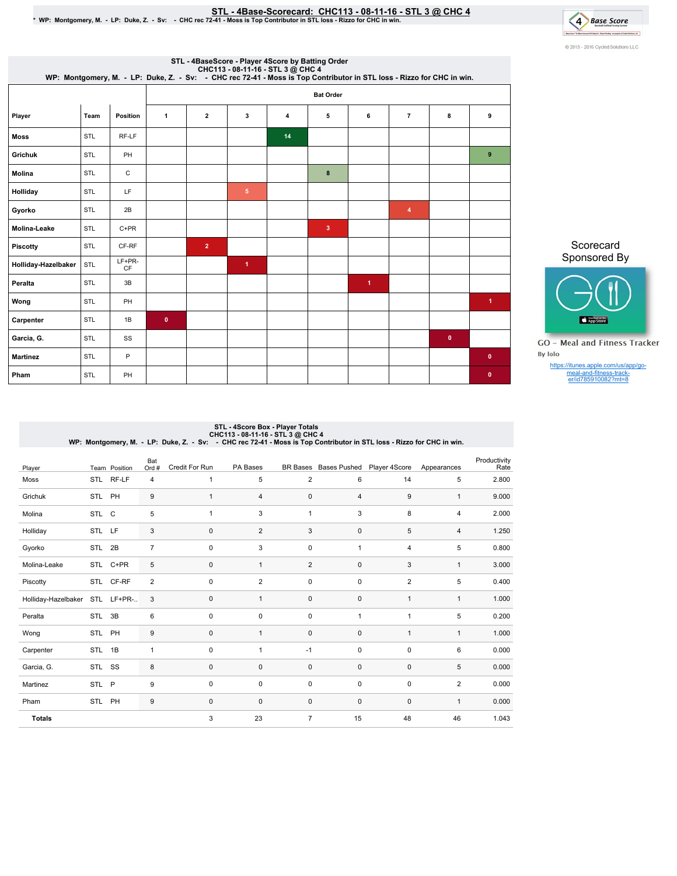## STL - 4Base-Scorecard: CHC113 - 08-11-16 - STL 3 @ CHC 4> & STL+4Base-Scorecard: CHC113 - 08-11-16<br>\* WP: Montgomery, M. - LP: Duke, Z. - Sv: - CHC rec 72-41 - Moss is Top Contributor in STL loss - Rizzo for CHC in wi

4 Base Score to politically and the plant state C 2013 - 2016 Cycled Solutions LLC

|                     | STL - 4BaseScore - Player 4Score by Batting Order<br>CHC113 - 08-11-16 - STL 3 @ CHC 4<br>WP: Montgomery, M. - LP: Duke, Z. - Sv: - CHC rec 72-41 - Moss is Top Contributor in STL loss - Rizzo for CHC in win. |                     |              |                  |                      |                     |                         |                      |                         |              |                      |  |  |  |
|---------------------|-----------------------------------------------------------------------------------------------------------------------------------------------------------------------------------------------------------------|---------------------|--------------|------------------|----------------------|---------------------|-------------------------|----------------------|-------------------------|--------------|----------------------|--|--|--|
|                     |                                                                                                                                                                                                                 |                     |              | <b>Bat Order</b> |                      |                     |                         |                      |                         |              |                      |  |  |  |
| Player              | Team                                                                                                                                                                                                            | <b>Position</b>     | $\mathbf{1}$ | $\overline{2}$   | 3                    | $\overline{\bf{4}}$ | 5                       | 6                    | $\overline{7}$          | 8            | 9                    |  |  |  |
| <b>Moss</b>         | <b>STL</b>                                                                                                                                                                                                      | RF-LF               |              |                  |                      | 14                  |                         |                      |                         |              |                      |  |  |  |
| Grichuk             | STL                                                                                                                                                                                                             | PH                  |              |                  |                      |                     |                         |                      |                         |              | 9                    |  |  |  |
| Molina              | <b>STL</b>                                                                                                                                                                                                      | $\mathsf{C}$        |              |                  |                      |                     | 8                       |                      |                         |              |                      |  |  |  |
| Holliday            | <b>STL</b>                                                                                                                                                                                                      | LF.                 |              |                  | 5 <sup>5</sup>       |                     |                         |                      |                         |              |                      |  |  |  |
| Gyorko              | <b>STL</b>                                                                                                                                                                                                      | 2B                  |              |                  |                      |                     |                         |                      | $\overline{\mathbf{4}}$ |              |                      |  |  |  |
| Molina-Leake        | <b>STL</b>                                                                                                                                                                                                      | $C+PR$              |              |                  |                      |                     | $\overline{\mathbf{3}}$ |                      |                         |              |                      |  |  |  |
| <b>Piscotty</b>     | STL                                                                                                                                                                                                             | CF-RF               |              | $\overline{2}$   |                      |                     |                         |                      |                         |              |                      |  |  |  |
| Holliday-Hazelbaker | STL                                                                                                                                                                                                             | LF+PR-<br><b>CF</b> |              |                  | $\blacktriangleleft$ |                     |                         |                      |                         |              |                      |  |  |  |
| Peralta             | <b>STL</b>                                                                                                                                                                                                      | 3B                  |              |                  |                      |                     |                         | $\blacktriangleleft$ |                         |              |                      |  |  |  |
| Wong                | STL                                                                                                                                                                                                             | PH                  |              |                  |                      |                     |                         |                      |                         |              | $\blacktriangleleft$ |  |  |  |
| Carpenter           | STL                                                                                                                                                                                                             | 1B                  | $\mathbf{0}$ |                  |                      |                     |                         |                      |                         |              |                      |  |  |  |
| Garcia, G.          | <b>STL</b>                                                                                                                                                                                                      | SS                  |              |                  |                      |                     |                         |                      |                         | $\mathbf{0}$ |                      |  |  |  |
| <b>Martinez</b>     | <b>STL</b>                                                                                                                                                                                                      | P                   |              |                  |                      |                     |                         |                      |                         |              | $\mathbf{0}$         |  |  |  |
| Pham                | <b>STL</b>                                                                                                                                                                                                      | PH                  |              |                  |                      |                     |                         |                      |                         |              | $\mathbf{0}$         |  |  |  |

Scorecard Sponsored By



**GO** - Meal and Fitness Tracker By Iolo

https://itunes.apple.com/us/app/go-meal-and-fitness-track-er/id785910082?mt=8

# STL - 4Score Box - Player Totals<br>CHC113 - 08-11-16 - STL3 @ CHC113<br>WP: Montgomery, M. - LP: Duke, Z. - Sv: - CHC rec 72-41 - Moss is Top Contributor in STL loss - Rizzo for CHC in win.

| Player              |        | Team Position | Bat<br>Ord #   | Credit For Run | PA Bases       |                | BR Bases Bases Pushed | Player 4Score  | Appearances    | Productivity<br>Rate |
|---------------------|--------|---------------|----------------|----------------|----------------|----------------|-----------------------|----------------|----------------|----------------------|
| Moss                |        | STL RF-LF     | 4              | $\overline{1}$ | 5              | $\overline{2}$ | 6                     | 14             | 5              | 2.800                |
| Grichuk             | STL PH |               | 9              | $\overline{1}$ | 4              | $\mathbf 0$    | $\overline{4}$        | 9              | $\mathbf{1}$   | 9.000                |
| Molina              | STL C  |               | 5              | $\mathbf{1}$   | 3              | $\mathbf{1}$   | 3                     | 8              | 4              | 2.000                |
| Holliday            | STL LF |               | 3              | $\pmb{0}$      | $\overline{2}$ | 3              | 0                     | 5              | $\overline{4}$ | 1.250                |
| Gyorko              | STL 2B |               | $\overline{7}$ | $\pmb{0}$      | 3              | $\mathbf 0$    | 1                     | $\overline{4}$ | 5              | 0.800                |
| Molina-Leake        |        | STL C+PR      | 5              | $\pmb{0}$      | $\mathbf{1}$   | $\overline{2}$ | 0                     | 3              | $\mathbf{1}$   | 3.000                |
| Piscotty            |        | STL CF-RF     | 2              | $\mathbf 0$    | $\overline{2}$ | $\mathbf 0$    | 0                     | 2              | 5              | 0.400                |
| Holliday-Hazelbaker |        | STL LF+PR-    | 3              | 0              | 1              | $\mathbf 0$    | 0                     | 1              | $\mathbf{1}$   | 1.000                |
| Peralta             | STL 3B |               | 6              | $\mathbf 0$    | 0              | $\mathbf 0$    | 1                     | 1              | 5              | 0.200                |
| Wong                | STL PH |               | 9              | $\pmb{0}$      | $\mathbf{1}$   | $\mathbf 0$    | 0                     | $\mathbf{1}$   | $\mathbf{1}$   | 1.000                |
| Carpenter           | STL 1B |               | $\mathbf{1}$   | $\mathbf 0$    | 1              | $-1$           | 0                     | $\mathbf 0$    | 6              | 0.000                |
| Garcia, G.          | STL SS |               | 8              | 0              | 0              | $\mathbf 0$    | 0                     | 0              | 5              | 0.000                |
| Martinez            | STL P  |               | 9              | $\mathbf 0$    | 0              | $\mathbf 0$    | 0                     | $\mathbf 0$    | $\overline{2}$ | 0.000                |
| Pham                | STL PH |               | 9              | $\mathbf{0}$   | 0              | $\mathbf 0$    | 0                     | $\mathbf 0$    | $\mathbf{1}$   | 0.000                |
| <b>Totals</b>       |        |               |                | 3              | 23             | $\overline{7}$ | 15                    | 48             | 46             | 1.043                |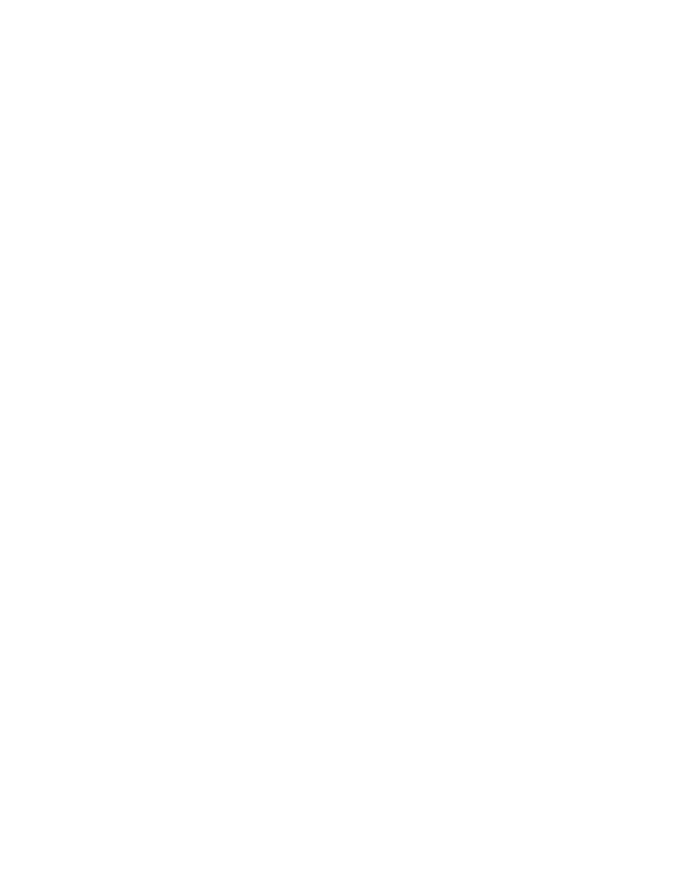|                                                  |         |             | $\sim$ | %DVH6FRUHFDUG                    | &+&                      | 67 | #<br>&+&<br>π |
|--------------------------------------------------|---------|-------------|--------|----------------------------------|--------------------------|----|---------------|
| 0 ROW RP HY<br>$\cdot$ 2<br>$\sim$ $\sim$ $\sim$ | $XNH =$ | $8 + 8$ IHF |        | 0 RW LV 7RS & ROMMEXWRUIO 67/0RW | $5$ IIIRIRU& $+$ & IOZIO |    |               |

| 67/ %DVH6FRUH 300 HU 6FRUHE\ %DWLQJ 2 UGHU<br>$67/$ # $8+8$<br>$8 + 8$<br>8+& 67/ #&+& 67/ 674.<br>30 RQW/RPHU 0 /3 'XNH = 6Y &+& UHF 0 RW LV 7RS&RQMUEXMRULQ 67/0RW 5LJ]RIRU&+& LQZLQ : 3 |      |                  |  |           |  |  |  |  |  |  |  |  |  |
|--------------------------------------------------------------------------------------------------------------------------------------------------------------------------------------------|------|------------------|--|-----------|--|--|--|--|--|--|--|--|--|
|                                                                                                                                                                                            |      |                  |  | %DW2 UGHU |  |  |  |  |  |  |  |  |  |
| 300 HU                                                                                                                                                                                     | 7HDP | 3 RVLWIRQ        |  |           |  |  |  |  |  |  |  |  |  |
| 0 RW                                                                                                                                                                                       | 67/  | $5)$ $/$         |  |           |  |  |  |  |  |  |  |  |  |
| * UFKXN                                                                                                                                                                                    | 67/  | $3+$             |  |           |  |  |  |  |  |  |  |  |  |
| 0 ROCOD                                                                                                                                                                                    | 67/  | &                |  |           |  |  |  |  |  |  |  |  |  |
| $+$ RODGD                                                                                                                                                                                  | 67/  | $\left( \right)$ |  |           |  |  |  |  |  |  |  |  |  |
| $*$ \ RUNR                                                                                                                                                                                 | 67/  | $\%$             |  |           |  |  |  |  |  |  |  |  |  |
| 0 ROCOD / HDNH                                                                                                                                                                             | 67/  | & 35             |  |           |  |  |  |  |  |  |  |  |  |
| 3LVFRWW                                                                                                                                                                                    | 67/  | 8) 5)            |  |           |  |  |  |  |  |  |  |  |  |
| $+$ RODGEN $+$ D  HOEDNHU 67/                                                                                                                                                              |      | 1) 35<br>&)      |  |           |  |  |  |  |  |  |  |  |  |
| 3HUDOM                                                                                                                                                                                     | 67/  | %                |  |           |  |  |  |  |  |  |  |  |  |
| : RQJ                                                                                                                                                                                      | 67/  | $3+$             |  |           |  |  |  |  |  |  |  |  |  |
| & DUSHOMMU                                                                                                                                                                                 | 67/  | %                |  |           |  |  |  |  |  |  |  |  |  |
| $*$ DUFID $*$                                                                                                                                                                              | 67/  | 66               |  |           |  |  |  |  |  |  |  |  |  |
| 0 DUMCH                                                                                                                                                                                    | 67/  | 3                |  |           |  |  |  |  |  |  |  |  |  |
| 3KDP                                                                                                                                                                                       | 67/  | $3+$             |  |           |  |  |  |  |  |  |  |  |  |

#### 6 FRUHFDLG 6 SRQVRUHG%

<u>KWOSY WACHYDSSON FRP XYDSSJR</u><br>PHDODOGILWOHNYWOFN<br>HULG "PW"

|                               |          | : $3 \cdot 0$ RQW RP HU $0 \cdot 3 \cdot X$ NH = |                   |                 | 67/<br>$8 + 8$<br>6Y 0 | $8+8$ UF  | 6 FRUH%R[ 300\HU7RW00Y<br>$67/$ # $8+8$ | 0 RW LV 7RS & ROWLEXWRULQ 67/0RW 5 LJ R IRU& + & LQ ZLQ |  |                     |
|-------------------------------|----------|--------------------------------------------------|-------------------|-----------------|------------------------|-----------|-----------------------------------------|---------------------------------------------------------|--|---------------------|
| 30 NU                         |          | 7HDP 3RVMLRQ                                     | %DW<br>$2 \cup 5$ | & UHGLV) RU5 XQ |                        | 3\$ %DVHV |                                         | %5 %DVHV %DVHV3XVKHG 300 HU 6 FRUH \$SSHDUDGFHV         |  | 3 URGXFWYUW<br>5 DM |
| 0 RW                          |          | $67/$ $5)$ $/$                                   |                   |                 |                        |           |                                         |                                                         |  |                     |
| * UFKXN                       | $67/3+$  |                                                  |                   |                 |                        |           |                                         |                                                         |  |                     |
| 0 RODD                        | 67/8     |                                                  |                   |                 |                        |           |                                         |                                                         |  |                     |
| $+$ RODED                     | $67/$ /) |                                                  |                   |                 |                        |           |                                         |                                                         |  |                     |
| $*$ \RUNR                     | 67/      | $\%$                                             |                   |                 |                        |           |                                         |                                                         |  |                     |
| 0 RODD / HDNH                 | 67/      | & 35                                             |                   |                 |                        |           |                                         |                                                         |  |                     |
| 3 LVFRWW                      |          | $67/$ $8)$ 5)                                    |                   |                 |                        |           |                                         |                                                         |  |                     |
| +ROBED. +D  HEEDNHU 67/ /) 35 |          |                                                  |                   |                 |                        |           |                                         |                                                         |  |                     |
| 3HUDOD                        | 67/      | %                                                |                   |                 |                        |           |                                         |                                                         |  |                     |
| : RQJ                         | $67/3+$  |                                                  |                   |                 |                        |           |                                         |                                                         |  |                     |
| & DUSHOWNU                    | 67/      | $\%$                                             |                   |                 |                        |           |                                         |                                                         |  |                     |
| $*$ DUFID $*$                 | 67/ 66   |                                                  |                   |                 |                        |           |                                         |                                                         |  |                     |
| 0 DUMCH                       | 67/3     |                                                  |                   |                 |                        |           |                                         |                                                         |  |                     |
| 3KDP                          | $67/3+$  |                                                  |                   |                 |                        |           |                                         |                                                         |  |                     |
| 7RWDOV                        |          |                                                  |                   |                 |                        |           |                                         |                                                         |  |                     |
|                               |          |                                                  |                   |                 |                        |           |                                         |                                                         |  |                     |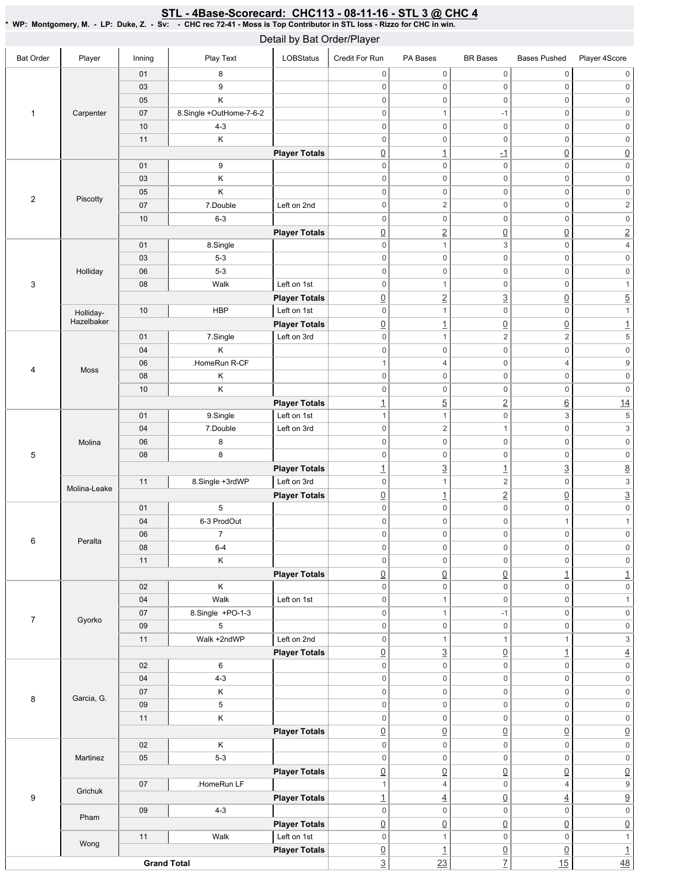#### <u>STL - 4Base-Scorecard: CHC113 - 08-11-16 - STL 3 @ CHC 4</u> \* WP: Montgomery, M. - LP: Duke, Z. - Sv: - CHC rec 72-41 - Moss is Top Contributor in STL loss - Rizzo for CHC in win. Bat Order | Player | Inning | PlayText | LOBStatus Credit For Run PA Bases BR Bases Bases Pushed Player 4Score 1 Carpenter 01 8 03 9 05 K 07 8.Single +OutHome-7-6-2 10 4-3 11 K **Player Totals** 2 | Piscotty 01 9 03 K 05 K 07 7.Double Left on 2nd 10 6-3 **Player Totals** 3 Holliday 01 8.Single 03 5-3 06 5-3 08 | Walk Left on 1st **Player Totals** Holliday-Hazelbaker 10 HBP Left on 1st **Player Totals** 4 Moss 01 7.Single Left on 3rd 04 K 06 | HomeRun R-CF 08 K 10 K **Player Totals** 5 Molina 01 9.Single Left on 1st 04 | 7.Double | Left on 3rd 06 8 08 8 **Player Totals** Molina-Leake 11 8.Single +3rdWP Left on 3rd **Player Totals** 6 Peralta 01 5 04 6-3 ProdOut 06 7 08 6-4 11 K **Player Totals** 0 0 0 0 0 0 0 0 0 0 0 0 0 0 0 0 0 0 0 1 -1 0 0 0 0 0 0 0 0 0 0 0 0 0 0 0 1 -1 0 0 0 0 0 0 0 0 0 0 0 0 0 0 0 0 0 0 0 0 0 0 2 0 2 0 0 0 0 0 0 0 2 0 0 2 0 1 3 0 4 0 0 0 0 0 0 0 0 0 0 0 0 0 0 1 0 1  $\boxed{0}$  2  $\boxed{3}$   $\boxed{0}$  5 0 0 0 1  $\Omega$  1 0 0  $\Omega$  1 0 1 2 2 5 0 0 0 0 0 0 1 4 0 4 9 0 0 0 0 0 0 Detail by Bat Order/Player

7 Gyorko 02 K 04 Walk Left on 1st 07 8.Single +PO-1-3 09 5 11 | Walk +2ndWP | Left on 2nd **Player Totals** 8 Garcia, G. 02 6  $04$  4-3 07 K 09 5 11 K **Player Totals** 9 Martinez 02 K 05 5-3 **Player Totals** Grichuk 07 .HomeRun LF **Player Totals** Pham 09 4-3 **Player Totals** Wong 11 | Walk Left on 1st **Player Totals Grand Total** 0 0 0 0 0 0 1 5 2 6 14 1 1 0 3 5 0 2 1 0 3 0 0 0 0 0 0 0 0 0 0 0 0 1 3 1 3 8 0 1 2 0 3 0 1 2 0 3 0 0 0 0 0 0  $0 \qquad 0 \qquad 0 \qquad 1 \qquad 1$ 0 0 0 0 0 0 0 0 0 0 0 0 0 0 0 0 0 0  $\boxed{0}$   $\boxed{0}$   $\boxed{1}$   $\boxed{1}$ 0 0 0 0 0 0 0 0 1 0 1 0 1 -1 0 0 0 0 0 0 0 0 0 1 1 1  $1$  3  $\boxed{0}$   $\boxed{1}$   $\boxed{4}$ 0 0 0 0 0 0 0 0 0 0 0 0 0 0 0 0 0 0 0 0 0 0 0 0 0 0 0 0 0 0  $\overline{0}$   $\overline{0}$   $\overline{0}$   $\overline{0}$   $\overline{0}$   $\overline{0}$   $\overline{0}$ 0 0 0 0 0 0 0 0 0 0 0 0 0 0 0 0 0 1 4 0 4 9  $\frac{1}{4}$   $\frac{1}{1}$   $\frac{1}{2}$ 0 0 0 0 0 0  $\overline{0}$   $\overline{0}$   $\overline{0}$   $\overline{0}$   $\overline{0}$   $\overline{0}$   $\overline{0}$ 0 0 0 1  $\boxed{0}$  1  $\boxed{0}$   $\boxed{0}$  1 <u>3</u> 23 7  $\frac{15}{29}$  48